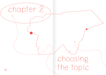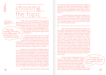

## choosing the topic

think about it."

2 | www.ou.edu/ deptcomm/dodjcc/ groups/02B2/Literature\_ Review.html

In 1963, media researcher Bernard Cohen <u>said</u><sup>2</sup> that while "the press may not be successful much of the time in telling people what to think," it is "stunningly successful in telling its readers what to think about." In other words, topics journalists choose do not only captivate people's attention and interest, they also set agendas for society. Featuring something in the media means telling people: "This is important and you should

"Featuring something in the media means telling people: "This is important and you should think about it.  $\infty$ 

NGOs and civil society often act in similar ways, by focusing their attention on one issue at a specific moment. Since the so-called 'refugee crisis' in 2015, migration has been the centre of attention all over the world, across almost all sectors. But if we look at what is being published, how come certain topics are covered and others not? What is behind the decision to document certain aspects of migration but not others?

Participants in our workshops had different answers to these questions. Jelena Dzekseneva, the anthropologist in Lyon, said that the issue of migration is more than just a topic: "It is the whole world. Everything in terms of how we live our lives is based on the movement of people. Every path I take leads me to people who have changed countries, languages or cities. Migration is all around us." Dzekseneva started to pay attention to why some topics are less represented in the media when she was taking classes in anthropology: "I started to ask why the media never speaks about my country, Kazakhstan. We changed the president last year, and we changed the name of our capital. That's huge! But no one talked about it."

that she lacks historical contextualisation when migration is portrayed in the media: "We discuss migration, identity and stereotypes but we don't go back to the origins of things. To those who drew the geographical borders, those who combined people into groups and said: 'You are Lebanese, you are German.'"

For both Dzekseneva and Ghoussaini, deep and complex discussions on migration don't happen. This is partly due to the lack of diversity among journalists, editors and publishers. If those who are, as Cohen said, "stunningly successful" in setting the agenda are not a diverse group of people, stories will not be diverse either.

More diversity among storytellers translates into more diverse topics because interests and perspectives are more diverse. Samih Mahmoud, the video journalist working in Lebanon's refugee camps, said that journalists living in the camps can understand people's concerns better: "The difference for me as a journalist from the camp is that my life is research in itself. The topics I cover concern my own situation so there's no need for research from the outside." But Mahmoud challenges the idea that refugees can and should only write about 'refugee issues,' just as women don't have to write only about 'women's issues' or a specific minority about their own community. A journalist once came and asked him about what camp residents thought of global warming. "At first, I was like, 'We don't think about that, we have problems with electricity, water and security and you come to ask about global warming?'" Mahmoud said. "But then I thought, why not? People here can and should have opinions on other issues as well."

34 35 about 'refugee issues.' "It is important that journalism plays Campji, the online media Mahmoud works for, has a big audience in Lebanon's refugee camps, and while they mainly cover topics related to life in the camps, they also discuss many other issues. Past features include videos on gender, Lebanon's Armenian community, revolutions, the Arab Spring and the Beirut port explosion in 2020. They don't think that people who are refugees should only care

"It is important that journalism plays the role of widening people's horizons.»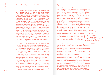new routes to<br>narrating migration narrating migration new routes to

the role of widening people's horizons," Mahmoud said.

Several participants expressed a preference for 'small stories,' snippets from daily life that do not confine people to singular categories like 'migrant' or 'refugee.' Simone Spera, a PhD student from Italy, does research on informal education among refugee communities in Lebanon. "In anthropology, we tend to start from the lived experiences of people. My research is on education in general but related to political activism. It looks more specifically at Syrian initiatives in Lebanon. My intention is to go beyond views on refugee education as sheer emergency responses to humanitarian crises, and see how refugees experiment and create in the process. That way, agency is brought back to the actors themselves," he said. Omar Saadeh, who worked with an international NGO in Lebanon at the time he attended the workshops, used to produce videos about refugee issues. But he said that he lacked diversity in the coverage he was asked to do: "I never saw stories about the villages where people came from. Or how they worked together in the camps. Or about this [Lebanese] fieldworker who said that it would be sad if everyone returned to their country because of all their new friendships in the camp."

Fatima Alhaji, the journalist in Berlin, used to report on refugee issues in Lebanon. She said that she prefers everyday topics too: "They reflect the human side of life; people's daily struggles. And they portray people's backgrounds, where they come from and why they are where they are." Even if writing about people's daily lives may seem less complex, this is often not the case. 'Small topics' require the same awareness and self-reflective attitude, and consideration of privilege and positionality. Sam Mustelin, a writer from Germany, said that when researching a story on Germany's queer history, they realised that the story had many dimensions: "the same awareness and self-reflective attitude as other topics, and the same consideration of privilege and positionality." Mustelin questioned their own authority when writing about something that can be approached in so many ways: "I think that sometimes it is just not possible to tell the full story, the truths of all people. We should be aware of this. No one can answer all questions,

Several participants mentioned that journalists should seek out topics that matter to the community they cover instead of coming with set ideas in mind. Alhaji, who used to report on migration in Lebanon, said that a friend who is also a journalist asked her about topics she should cover in the refugee camps: "I told her to connect with people directly, because not everyone has the same experience. Of course, there are general issues that concern everyone, but there are also many individual experiences. You need to be in contact with the community before deciding which topic is interesting," she said. Mahmoud and his colleague Rayan Sukkar from Campji said similar things. "When we don't have ideas we just go out into the streets to talk to people. Sometimes we don't even have to ask, people tell us stories and raise concerns anyway," Mahmoud said. Often, people ask to be featured

in Campji's videos. "They send us messages on Facebook, we don't have time to work on all of these stories. Someone might say, 'I live in the Nahr El-Bared camp and I have a story to tell, can you do a feature on me?' Or a girl who plays football may say, 'I saw this video that you did, can you come and meet me?' We are very happy about this," Sukkar said.

"You need to be in contact with the community before deciding which topic is interesting."

 $36$  and each story is just one part of the whole experience."  $\qquad \qquad$  to suggest to the NGO to cover other topics: "I once tried to  $37$ However, letting communities set the agenda can be hard. Many factors play in when determining how stories will be framed in the media: readership numbers, funding, trends in what interests people at the moment. Spera, the PhD student from Italy, said that academics and journalists play an important role in shedding light on a diversity of topics: "Media has the potential to spread critical thinking on a larger scale." Still, he said, the media is never fully independent because it is "always connected to economic and political structures." Saadeh, the filmmaker, described how he often felt pushed to pick topics that would interest funders: "We did films to show what donors expected to see. If we wanted to be funded, we had to document misery. I don't like this approach." What is worse is the impact such stories have on refugee communities. "People got used to being portrayed this way. So when I went to film them, they would 'wear that face' again," Saadeh said. At times, he tried to suggest to the NGO to cover other topics: "I once tried to